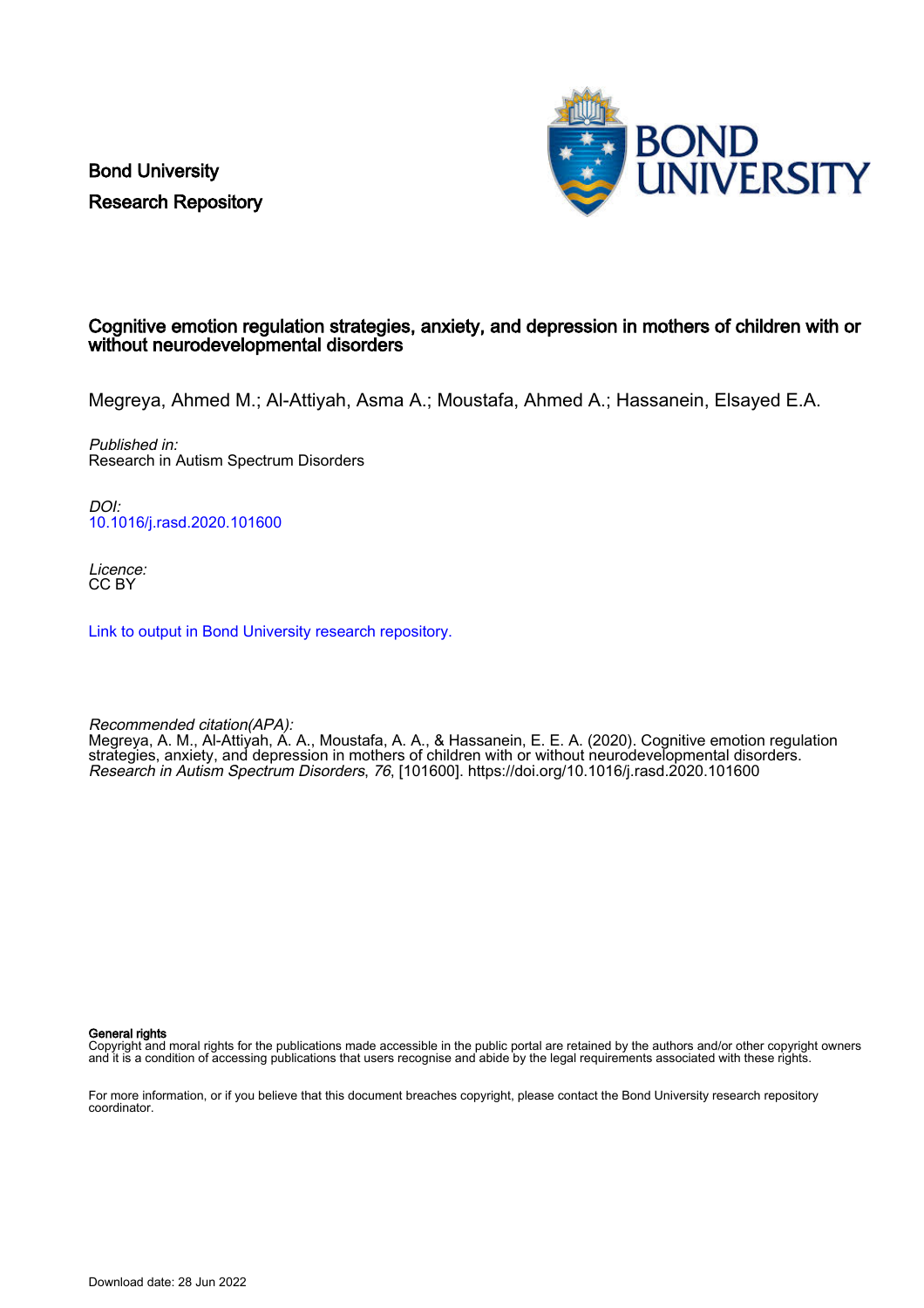Bond University Research Repository



# Cognitive emotion regulation strategies, anxiety, and depression in mothers of children with or without neurodevelopmental disorders

Megreya, Ahmed M.; Al-Attiyah, Asma A.; Moustafa, Ahmed A.; Hassanein, Elsayed E.A.

Published in: Research in Autism Spectrum Disorders

DOI: [10.1016/j.rasd.2020.101600](https://doi.org/10.1016/j.rasd.2020.101600)

Licence: CC BY

[Link to output in Bond University research repository.](https://research.bond.edu.au/en/publications/fe892c03-a350-44d8-bb1a-88e8b61f2d3b)

Recommended citation(APA):

Megreya, A. M., Al-Attiyah, A. A., Moustafa, A. A., & Hassanein, E. E. A. (2020). Cognitive emotion regulation strategies, anxiety, and depression in mothers of children with or without neurodevelopmental disorders. Research in Autism Spectrum Disorders, 76, [101600].<https://doi.org/10.1016/j.rasd.2020.101600>

General rights

Copyright and moral rights for the publications made accessible in the public portal are retained by the authors and/or other copyright owners and it is a condition of accessing publications that users recognise and abide by the legal requirements associated with these rights.

For more information, or if you believe that this document breaches copyright, please contact the Bond University research repository coordinator.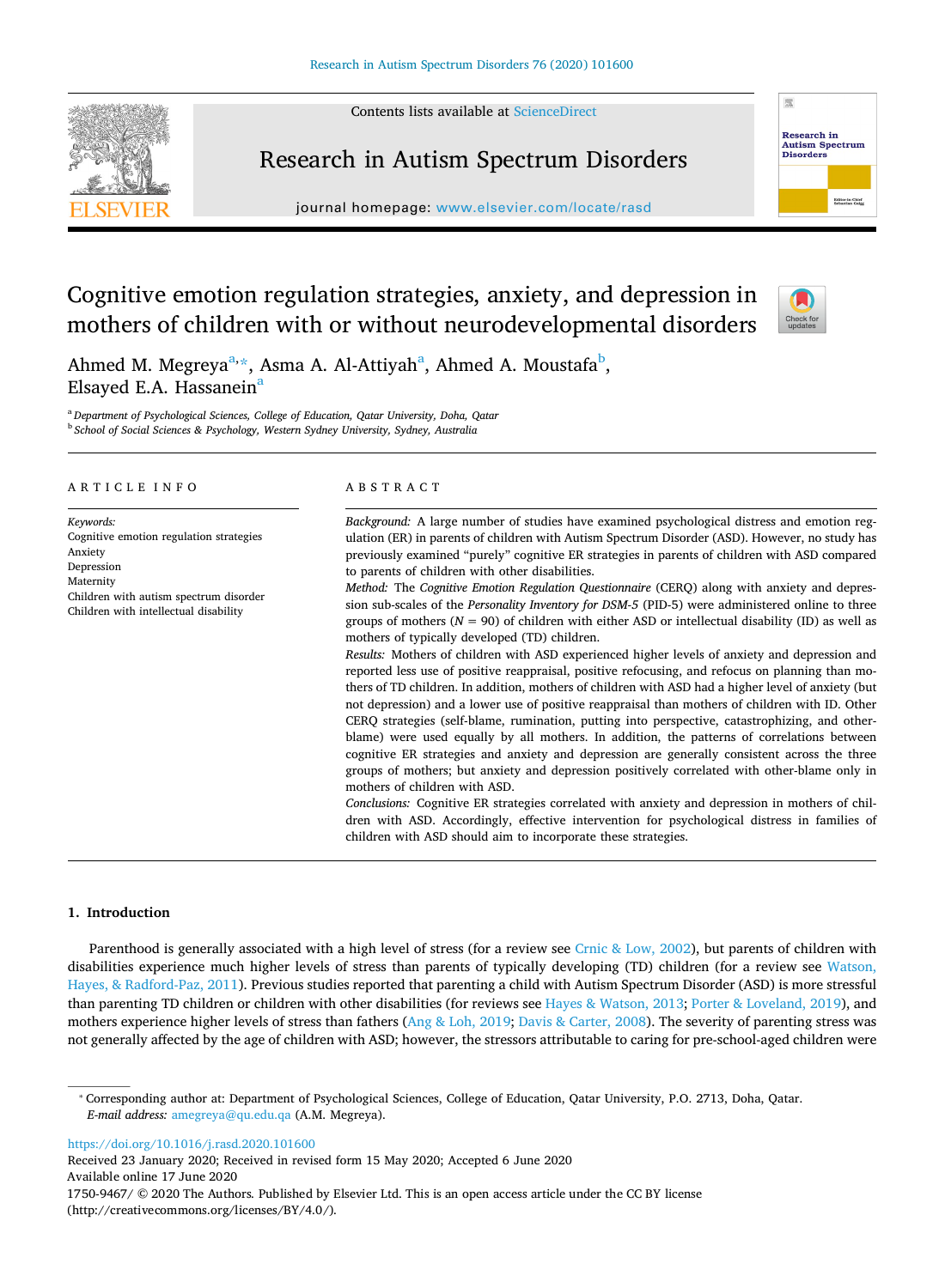Contents lists available at [ScienceDirect](http://www.sciencedirect.com/science/journal/17509467) 



# Research in Autism Spectrum Disorders

journal homepage: [www.elsevier.com/locate/rasd](https://www.elsevier.com/locate/rasd) 



# Cognitive emotion regulation strategies, anxiety, and depression in mothers of children with or without neurodevelopmental disorders



Ahmed M. Megreya<sup>[a,](#page-1-0) [\\*](#page-1-1)</sup>, Asm[a](#page-1-0) A. Al-Attiyah<sup>a</sup>, Ahmed A. Moustafa<sup>[b](#page-1-2)</sup>, Elsayed E.A. Hassanein<sup>a</sup>

<span id="page-1-2"></span><span id="page-1-0"></span><sup>a</sup>*Department of Psychological Sciences, College of Education, Qatar University, Doha, Qatar*  <sup>b</sup>*School of Social Sciences & Psychology, Western Sydney University, Sydney, Australia* 

# A R T I C L E I N F O

*Keywords:*  Cognitive emotion regulation strategies Anxiety Depression Maternity Children with autism spectrum disorder Children with intellectual disability

# ABSTRACT

*Background:* A large number of studies have examined psychological distress and emotion regulation (ER) in parents of children with Autism Spectrum Disorder (ASD). However, no study has previously examined "purely" cognitive ER strategies in parents of children with ASD compared to parents of children with other disabilities.

*Method:* The *Cognitive Emotion Regulation Questionnaire* (CERQ) along with anxiety and depression sub-scales of the *Personality Inventory for DSM-5* (PID-5) were administered online to three groups of mothers  $(N = 90)$  of children with either ASD or intellectual disability (ID) as well as mothers of typically developed (TD) children.

*Results:* Mothers of children with ASD experienced higher levels of anxiety and depression and reported less use of positive reappraisal, positive refocusing, and refocus on planning than mothers of TD children. In addition, mothers of children with ASD had a higher level of anxiety (but not depression) and a lower use of positive reappraisal than mothers of children with ID. Other CERQ strategies (self-blame, rumination, putting into perspective, catastrophizing, and otherblame) were used equally by all mothers. In addition, the patterns of correlations between cognitive ER strategies and anxiety and depression are generally consistent across the three groups of mothers; but anxiety and depression positively correlated with other-blame only in mothers of children with ASD.

*Conclusions:* Cognitive ER strategies correlated with anxiety and depression in mothers of children with ASD. Accordingly, effective intervention for psychological distress in families of children with ASD should aim to incorporate these strategies.

# **1. Introduction**

Parenthood is generally associated with a high level of stress (for a review see [Crnic & Low, 2002](#page-9-0)), but parents of children with disabilities experience much higher levels of stress than parents of typically developing (TD) children (for a review see [Watson,](#page-9-1) [Hayes, & Radford-Paz, 2011](#page-9-1)). Previous studies reported that parenting a child with Autism Spectrum Disorder (ASD) is more stressful than parenting TD children or children with other disabilities (for reviews see [Hayes & Watson, 2013](#page-9-2); [Porter & Loveland, 2019\)](#page-9-3), and mothers experience higher levels of stress than fathers ([Ang & Loh, 2019](#page-8-0); [Davis & Carter, 2008](#page-9-4)). The severity of parenting stress was not generally affected by the age of children with ASD; however, the stressors attributable to caring for pre-school-aged children were

<https://doi.org/10.1016/j.rasd.2020.101600>

Received 23 January 2020; Received in revised form 15 May 2020; Accepted 6 June 2020 Available online 17 June 2020

<span id="page-1-1"></span><sup>⁎</sup> Corresponding author at: Department of Psychological Sciences, College of Education, Qatar University, P.O. 2713, Doha, Qatar. *E-mail address:* [amegreya@qu.edu.qa](mailto:amegreya@qu.edu.qa) (A.M. Megreya).

<sup>1750-9467/ © 2020</sup> The Authors. Published by Elsevier Ltd. This is an open access article under the CC BY license (http://creativecommons.org/licenses/BY/4.0/).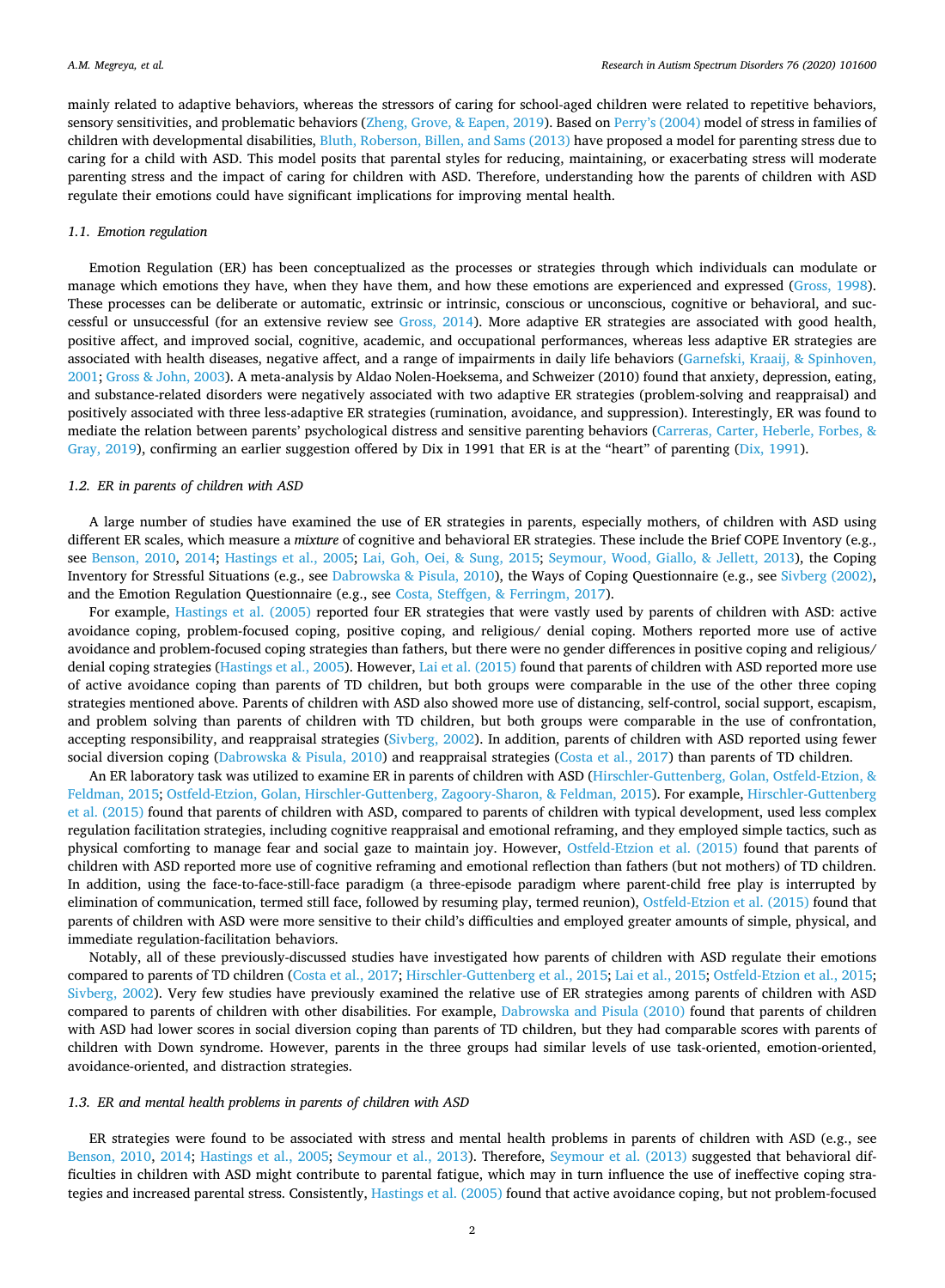mainly related to adaptive behaviors, whereas the stressors of caring for school-aged children were related to repetitive behaviors, sensory sensitivities, and problematic behaviors [\(Zheng, Grove, & Eapen, 2019\)](#page-9-5). Based on [Perry's \(2004\)](#page-9-6) model of stress in families of children with developmental disabilities, [Bluth, Roberson, Billen, and Sams \(2013\)](#page-8-1) have proposed a model for parenting stress due to caring for a child with ASD. This model posits that parental styles for reducing, maintaining, or exacerbating stress will moderate parenting stress and the impact of caring for children with ASD. Therefore, understanding how the parents of children with ASD regulate their emotions could have significant implications for improving mental health.

#### *1.1. Emotion regulation*

Emotion Regulation (ER) has been conceptualized as the processes or strategies through which individuals can modulate or manage which emotions they have, when they have them, and how these emotions are experienced and expressed ([Gross, 1998](#page-9-7)). These processes can be deliberate or automatic, extrinsic or intrinsic, conscious or unconscious, cognitive or behavioral, and successful or unsuccessful (for an extensive review see [Gross, 2014\)](#page-9-8). More adaptive ER strategies are associated with good health, positive affect, and improved social, cognitive, academic, and occupational performances, whereas less adaptive ER strategies are associated with health diseases, negative affect, and a range of impairments in daily life behaviors ([Garnefski, Kraaij, & Spinhoven,](#page-9-9) [2001;](#page-9-9) [Gross & John, 2003\)](#page-9-10). A meta-analysis by Aldao Nolen-Hoeksema, and Schweizer (2010) found that anxiety, depression, eating, and substance-related disorders were negatively associated with two adaptive ER strategies (problem-solving and reappraisal) and positively associated with three less-adaptive ER strategies (rumination, avoidance, and suppression). Interestingly, ER was found to mediate the relation between parents' psychological distress and sensitive parenting behaviors ([Carreras, Carter, Heberle, Forbes, &](#page-8-2) [Gray, 2019\)](#page-8-2), confirming an earlier suggestion offered by Dix in 1991 that ER is at the "heart" of parenting [\(Dix, 1991](#page-9-11)).

#### *1.2. ER in parents of children with ASD*

A large number of studies have examined the use of ER strategies in parents, especially mothers, of children with ASD using different ER scales, which measure a *mixture* of cognitive and behavioral ER strategies. These include the Brief COPE Inventory (e.g., see [Benson, 2010](#page-8-3), [2014](#page-8-4); [Hastings et al., 2005](#page-9-12); [Lai, Goh, Oei, & Sung, 2015](#page-9-13); [Seymour, Wood, Giallo, & Jellett, 2013\)](#page-9-14), the Coping Inventory for Stressful Situations (e.g., see [Dabrowska & Pisula, 2010](#page-9-15)), the Ways of Coping Questionnaire (e.g., see [Sivberg \(2002\),](#page-9-16) and the Emotion Regulation Questionnaire (e.g., see [Costa, Steffgen, & Ferringm, 2017](#page-9-17)).

For example, [Hastings et al. \(2005\)](#page-9-12) reported four ER strategies that were vastly used by parents of children with ASD: active avoidance coping, problem-focused coping, positive coping, and religious/ denial coping. Mothers reported more use of active avoidance and problem-focused coping strategies than fathers, but there were no gender differences in positive coping and religious/ denial coping strategies ([Hastings et al., 2005](#page-9-12)). However, [Lai et al. \(2015\)](#page-9-13) found that parents of children with ASD reported more use of active avoidance coping than parents of TD children, but both groups were comparable in the use of the other three coping strategies mentioned above. Parents of children with ASD also showed more use of distancing, self-control, social support, escapism, and problem solving than parents of children with TD children, but both groups were comparable in the use of confrontation, accepting responsibility, and reappraisal strategies [\(Sivberg, 2002](#page-9-16)). In addition, parents of children with ASD reported using fewer social diversion coping [\(Dabrowska & Pisula, 2010](#page-9-15)) and reappraisal strategies ([Costa et al., 2017](#page-9-17)) than parents of TD children.

An ER laboratory task was utilized to examine ER in parents of children with ASD ([Hirschler-Guttenberg, Golan, Ostfeld-Etzion, &](#page-9-18) [Feldman, 2015;](#page-9-18) [Ostfeld-Etzion, Golan, Hirschler-Guttenberg, Zagoory-Sharon, & Feldman, 2015\)](#page-9-19). For example, [Hirschler-Guttenberg](#page-9-18) [et al. \(2015\)](#page-9-18) found that parents of children with ASD, compared to parents of children with typical development, used less complex regulation facilitation strategies, including cognitive reappraisal and emotional reframing, and they employed simple tactics, such as physical comforting to manage fear and social gaze to maintain joy. However, [Ostfeld-Etzion et al. \(2015\)](#page-9-19) found that parents of children with ASD reported more use of cognitive reframing and emotional reflection than fathers (but not mothers) of TD children. In addition, using the face-to-face-still-face paradigm (a three-episode paradigm where parent-child free play is interrupted by elimination of communication, termed still face, followed by resuming play, termed reunion), [Ostfeld-Etzion et al. \(2015\)](#page-9-19) found that parents of children with ASD were more sensitive to their child's difficulties and employed greater amounts of simple, physical, and immediate regulation-facilitation behaviors.

Notably, all of these previously-discussed studies have investigated how parents of children with ASD regulate their emotions compared to parents of TD children ([Costa et al., 2017;](#page-9-17) [Hirschler-Guttenberg et al., 2015](#page-9-18); [Lai et al., 2015;](#page-9-13) [Ostfeld-Etzion et al., 2015](#page-9-19); [Sivberg, 2002\)](#page-9-16). Very few studies have previously examined the relative use of ER strategies among parents of children with ASD compared to parents of children with other disabilities. For example, [Dabrowska and Pisula \(2010\)](#page-9-15) found that parents of children with ASD had lower scores in social diversion coping than parents of TD children, but they had comparable scores with parents of children with Down syndrome. However, parents in the three groups had similar levels of use task-oriented, emotion-oriented, avoidance-oriented, and distraction strategies.

#### *1.3. ER and mental health problems in parents of children with ASD*

ER strategies were found to be associated with stress and mental health problems in parents of children with ASD (e.g., see [Benson, 2010](#page-8-3), [2014](#page-8-4); [Hastings et al., 2005;](#page-9-12) [Seymour et al., 2013\)](#page-9-14). Therefore, [Seymour et al. \(2013\)](#page-9-14) suggested that behavioral difficulties in children with ASD might contribute to parental fatigue, which may in turn influence the use of ineffective coping strategies and increased parental stress. Consistently, [Hastings et al. \(2005\)](#page-9-12) found that active avoidance coping, but not problem-focused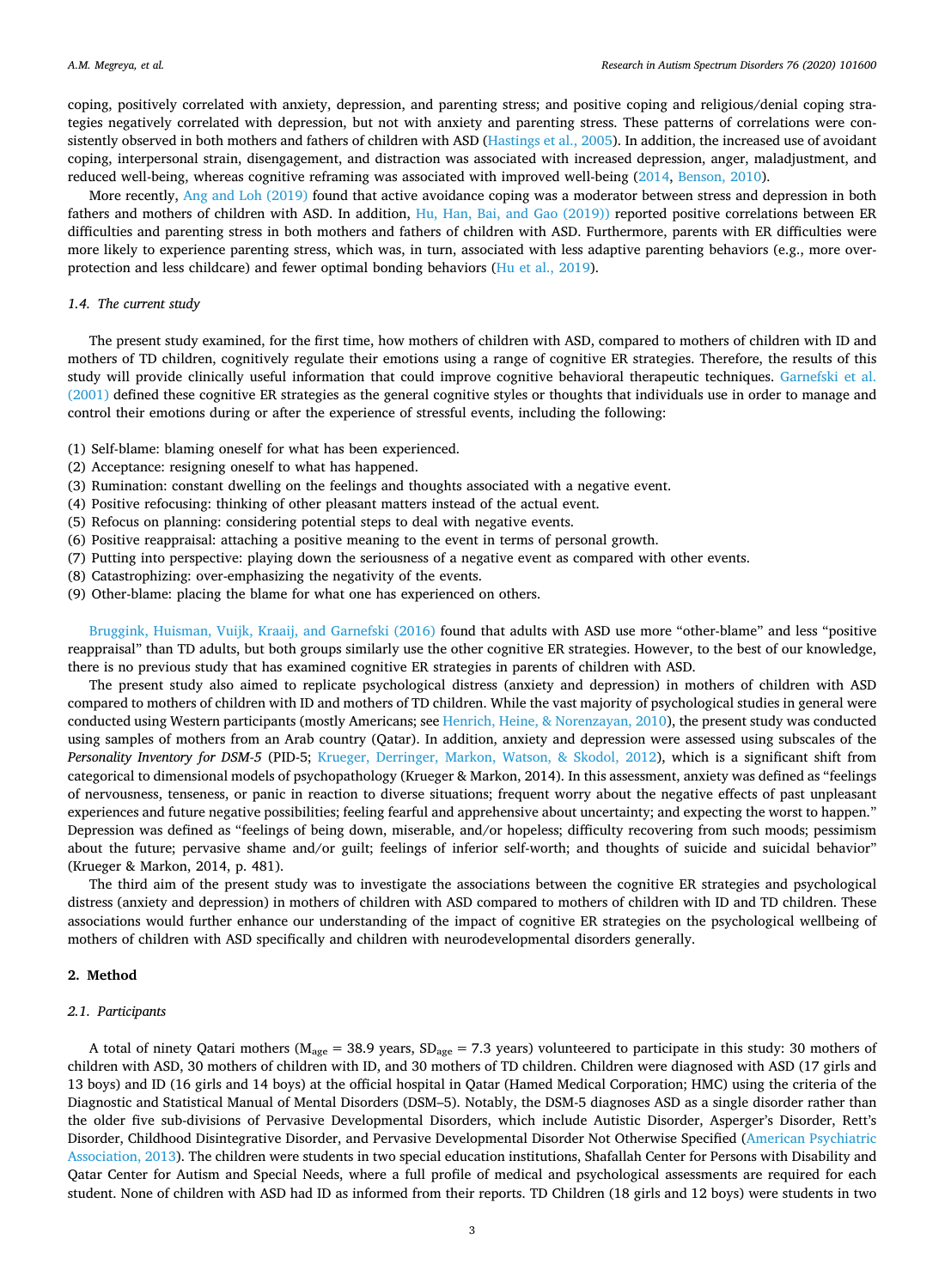coping, positively correlated with anxiety, depression, and parenting stress; and positive coping and religious/denial coping strategies negatively correlated with depression, but not with anxiety and parenting stress. These patterns of correlations were consistently observed in both mothers and fathers of children with ASD [\(Hastings et al., 2005\)](#page-9-12). In addition, the increased use of avoidant coping, interpersonal strain, disengagement, and distraction was associated with increased depression, anger, maladjustment, and reduced well-being, whereas cognitive reframing was associated with improved well-being ([2014,](#page-8-4) [Benson, 2010\)](#page-8-3).

More recently, [Ang and Loh \(2019\)](#page-8-0) found that active avoidance coping was a moderator between stress and depression in both fathers and mothers of children with ASD. In addition, [Hu, Han, Bai, and Gao \(2019\)\)](#page-9-20) reported positive correlations between ER difficulties and parenting stress in both mothers and fathers of children with ASD. Furthermore, parents with ER difficulties were more likely to experience parenting stress, which was, in turn, associated with less adaptive parenting behaviors (e.g., more overprotection and less childcare) and fewer optimal bonding behaviors [\(Hu et al., 2019](#page-9-20)).

# *1.4. The current study*

The present study examined, for the first time, how mothers of children with ASD, compared to mothers of children with ID and mothers of TD children, cognitively regulate their emotions using a range of cognitive ER strategies. Therefore, the results of this study will provide clinically useful information that could improve cognitive behavioral therapeutic techniques. [Garnefski et al.](#page-9-9) [\(2001\)](#page-9-9) defined these cognitive ER strategies as the general cognitive styles or thoughts that individuals use in order to manage and control their emotions during or after the experience of stressful events, including the following:

(1) Self-blame: blaming oneself for what has been experienced.

- (2) Acceptance: resigning oneself to what has happened.
- (3) Rumination: constant dwelling on the feelings and thoughts associated with a negative event.
- (4) Positive refocusing: thinking of other pleasant matters instead of the actual event.
- (5) Refocus on planning: considering potential steps to deal with negative events.
- (6) Positive reappraisal: attaching a positive meaning to the event in terms of personal growth.
- (7) Putting into perspective: playing down the seriousness of a negative event as compared with other events.
- (8) Catastrophizing: over-emphasizing the negativity of the events.
- (9) Other-blame: placing the blame for what one has experienced on others.

[Bruggink, Huisman, Vuijk, Kraaij, and Garnefski \(2016\)](#page-8-5) found that adults with ASD use more "other-blame" and less "positive reappraisal" than TD adults, but both groups similarly use the other cognitive ER strategies. However, to the best of our knowledge, there is no previous study that has examined cognitive ER strategies in parents of children with ASD.

The present study also aimed to replicate psychological distress (anxiety and depression) in mothers of children with ASD compared to mothers of children with ID and mothers of TD children. While the vast majority of psychological studies in general were conducted using Western participants (mostly Americans; see [Henrich, Heine, & Norenzayan, 2010](#page-9-21)), the present study was conducted using samples of mothers from an Arab country (Qatar). In addition, anxiety and depression were assessed using subscales of the *Personality Inventory for DSM-5* (PID-5; [Krueger, Derringer, Markon, Watson, & Skodol, 2012](#page-9-22)), which is a significant shift from categorical to dimensional models of psychopathology (Krueger & Markon, 2014). In this assessment, anxiety was defined as "feelings of nervousness, tenseness, or panic in reaction to diverse situations; frequent worry about the negative effects of past unpleasant experiences and future negative possibilities; feeling fearful and apprehensive about uncertainty; and expecting the worst to happen." Depression was defined as "feelings of being down, miserable, and/or hopeless; difficulty recovering from such moods; pessimism about the future; pervasive shame and/or guilt; feelings of inferior self-worth; and thoughts of suicide and suicidal behavior" (Krueger & Markon, 2014, p. 481).

The third aim of the present study was to investigate the associations between the cognitive ER strategies and psychological distress (anxiety and depression) in mothers of children with ASD compared to mothers of children with ID and TD children. These associations would further enhance our understanding of the impact of cognitive ER strategies on the psychological wellbeing of mothers of children with ASD specifically and children with neurodevelopmental disorders generally.

# **2. Method**

#### *2.1. Participants*

A total of ninety Qatari mothers ( $M_{\text{age}} = 38.9$  years,  $SD_{\text{age}} = 7.3$  years) volunteered to participate in this study: 30 mothers of children with ASD, 30 mothers of children with ID, and 30 mothers of TD children. Children were diagnosed with ASD (17 girls and 13 boys) and ID (16 girls and 14 boys) at the official hospital in Qatar (Hamed Medical Corporation; HMC) using the criteria of the Diagnostic and Statistical Manual of Mental Disorders (DSM–5). Notably, the DSM-5 diagnoses ASD as a single disorder rather than the older five sub-divisions of Pervasive Developmental Disorders, which include Autistic Disorder, Asperger's Disorder, Rett's Disorder, Childhood Disintegrative Disorder, and Pervasive Developmental Disorder Not Otherwise Specified [\(American Psychiatric](#page-8-6) [Association, 2013](#page-8-6)). The children were students in two special education institutions, Shafallah Center for Persons with Disability and Qatar Center for Autism and Special Needs, where a full profile of medical and psychological assessments are required for each student. None of children with ASD had ID as informed from their reports. TD Children (18 girls and 12 boys) were students in two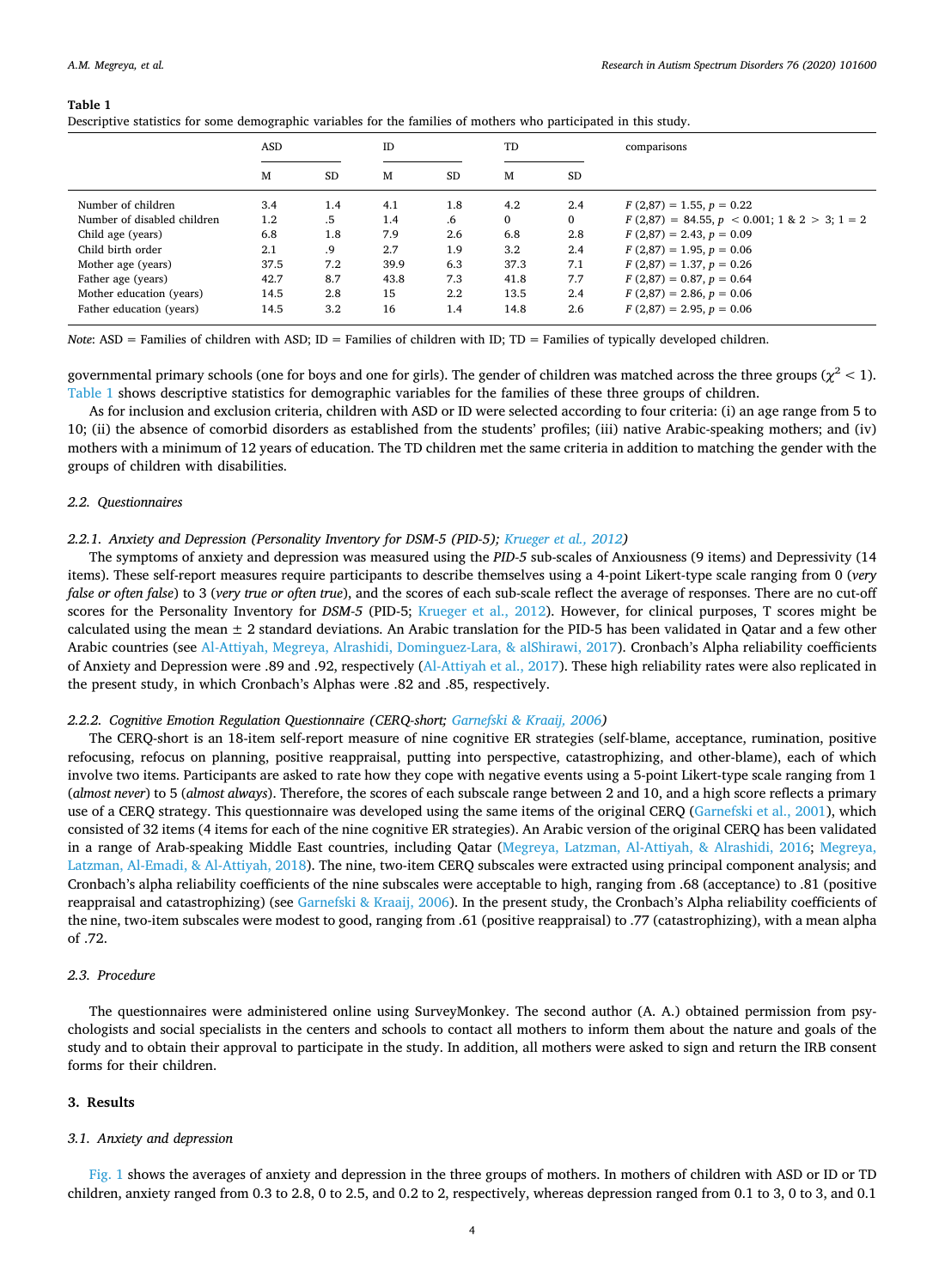#### <span id="page-4-0"></span>**Table 1**

| Descriptive statistics for some demographic variables for the families of mothers who participated in this study. |         |           |      |     |          |           |                                                |  |  |  |
|-------------------------------------------------------------------------------------------------------------------|---------|-----------|------|-----|----------|-----------|------------------------------------------------|--|--|--|
|                                                                                                                   | ASD     |           | ID   |     | TD       |           | comparisons                                    |  |  |  |
|                                                                                                                   | М       | <b>SD</b> | М    | SD  | M        | <b>SD</b> |                                                |  |  |  |
| Number of children                                                                                                | 3.4     | 1.4       | 4.1  | 1.8 | 4.2      | 2.4       | $F(2,87) = 1.55, p = 0.22$                     |  |  |  |
| Number of disabled children                                                                                       | $1.2\,$ | .5        | 1.4  | .6  | $\Omega$ | 0         | $F(2,87) = 84.55, p < 0.001; 1 & 2 > 3; 1 = 2$ |  |  |  |
| Child age (years)                                                                                                 | 6.8     | 1.8       | 7.9  | 2.6 | 6.8      | 2.8       | $F(2,87) = 2.43, p = 0.09$                     |  |  |  |
| Child birth order                                                                                                 | 2.1     | .9        | 2.7  | 1.9 | 3.2      | 2.4       | $F(2,87) = 1.95, p = 0.06$                     |  |  |  |
| Mother age (years)                                                                                                | 37.5    | 7.2       | 39.9 | 6.3 | 37.3     | 7.1       | $F(2,87) = 1.37, p = 0.26$                     |  |  |  |
| Father age (years)                                                                                                | 42.7    | 8.7       | 43.8 | 7.3 | 41.8     | 7.7       | $F(2,87) = 0.87, p = 0.64$                     |  |  |  |
| Mother education (years)                                                                                          | 14.5    | 2.8       | 15   | 2.2 | 13.5     | 2.4       | $F(2,87) = 2.86, p = 0.06$                     |  |  |  |

Descriptive statistics for some demographic variables for the families of mothers who participated in this study.

Father education (years) 14.5 3.2 16 1.4 14.8 2.6 *F* (2,87) = 2.95, *p* = 0.06 *Note*: ASD = Families of children with ASD; ID = Families of children with ID; TD = Families of typically developed children.

governmental primary schools (one for boys and one for girls). The gender of children was matched across the three groups ( $\chi^2$  < 1). [Table 1](#page-4-0) shows descriptive statistics for demographic variables for the families of these three groups of children.

As for inclusion and exclusion criteria, children with ASD or ID were selected according to four criteria: (i) an age range from 5 to 10; (ii) the absence of comorbid disorders as established from the students' profiles; (iii) native Arabic-speaking mothers; and (iv) mothers with a minimum of 12 years of education. The TD children met the same criteria in addition to matching the gender with the groups of children with disabilities.

### *2.2. Questionnaires*

# *2.2.1. Anxiety and Depression (Personality Inventory for DSM-5 (PID-5); [Krueger et al., 2012\)](#page-9-22)*

The symptoms of anxiety and depression was measured using the *PID-5* sub-scales of Anxiousness (9 items) and Depressivity (14 items). These self-report measures require participants to describe themselves using a 4-point Likert-type scale ranging from 0 (*very false or often false*) to 3 (*very true or often true*), and the scores of each sub-scale reflect the average of responses. There are no cut-off scores for the Personality Inventory for *DSM-5* (PID-5; [Krueger et al., 2012\)](#page-9-22). However, for clinical purposes, T scores might be calculated using the mean  $\pm 2$  standard deviations. An Arabic translation for the PID-5 has been validated in Qatar and a few other Arabic countries (see [Al-Attiyah, Megreya, Alrashidi, Dominguez-Lara, & alShirawi, 2017\)](#page-8-7). Cronbach's Alpha reliability coefficients of Anxiety and Depression were .89 and .92, respectively [\(Al-Attiyah et al., 2017](#page-8-7)). These high reliability rates were also replicated in the present study, in which Cronbach's Alphas were .82 and .85, respectively.

# *2.2.2. Cognitive Emotion Regulation Questionnaire (CERQ-short; [Garnefski & Kraaij, 2006\)](#page-9-23)*

The CERQ-short is an 18-item self-report measure of nine cognitive ER strategies (self-blame, acceptance, rumination, positive refocusing, refocus on planning, positive reappraisal, putting into perspective, catastrophizing, and other-blame), each of which involve two items. Participants are asked to rate how they cope with negative events using a 5-point Likert-type scale ranging from 1 (*almost never*) to 5 (*almost always*). Therefore, the scores of each subscale range between 2 and 10, and a high score reflects a primary use of a CERQ strategy. This questionnaire was developed using the same items of the original CERQ [\(Garnefski et al., 2001](#page-9-9)), which consisted of 32 items (4 items for each of the nine cognitive ER strategies). An Arabic version of the original CERQ has been validated in a range of Arab-speaking Middle East countries, including Qatar ([Megreya, Latzman, Al-Attiyah, & Alrashidi, 2016](#page-9-24); [Megreya,](#page-9-25) [Latzman, Al-Emadi, & Al-Attiyah, 2018\)](#page-9-25). The nine, two-item CERQ subscales were extracted using principal component analysis; and Cronbach's alpha reliability coefficients of the nine subscales were acceptable to high, ranging from .68 (acceptance) to .81 (positive reappraisal and catastrophizing) (see [Garnefski & Kraaij, 2006](#page-9-23)). In the present study, the Cronbach's Alpha reliability coefficients of the nine, two-item subscales were modest to good, ranging from .61 (positive reappraisal) to .77 (catastrophizing), with a mean alpha of .72.

# *2.3. Procedure*

The questionnaires were administered online using SurveyMonkey. The second author (A. A.) obtained permission from psychologists and social specialists in the centers and schools to contact all mothers to inform them about the nature and goals of the study and to obtain their approval to participate in the study. In addition, all mothers were asked to sign and return the IRB consent forms for their children.

# **3. Results**

# *3.1. Anxiety and depression*

[Fig. 1](#page-5-0) shows the averages of anxiety and depression in the three groups of mothers. In mothers of children with ASD or ID or TD children, anxiety ranged from 0.3 to 2.8, 0 to 2.5, and 0.2 to 2, respectively, whereas depression ranged from 0.1 to 3, 0 to 3, and 0.1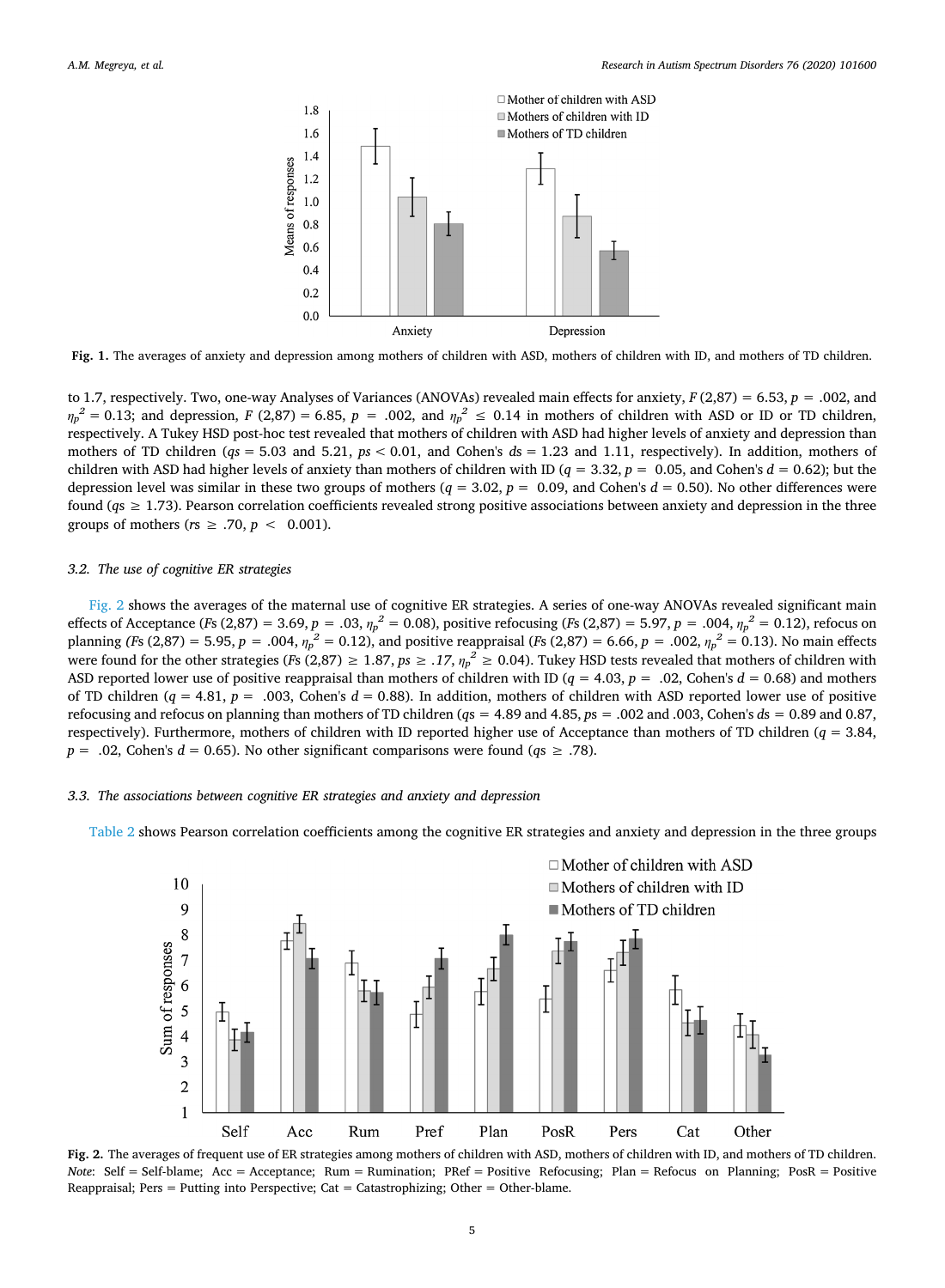<span id="page-5-0"></span>

**Fig. 1.** The averages of anxiety and depression among mothers of children with ASD, mothers of children with ID, and mothers of TD children.

to 1.7, respectively. Two, one-way Analyses of Variances (ANOVAs) revealed main effects for anxiety, *F* (2,87) = 6.53, *p =* .002, and  $\eta_p^2 = 0.13$ ; and depression, *F* (2,87) = 6.85, *p* = .002, and  $\eta_p^2 \le 0.14$  in mothers of children with ASD or ID or TD children, respectively. A Tukey HSD post-hoc test revealed that mothers of children with ASD had higher levels of anxiety and depression than mothers of TD children ( $qs = 5.03$  and  $5.21$ ,  $ps < 0.01$ , and Cohen's  $ds = 1.23$  and 1.11, respectively). In addition, mothers of children with ASD had higher levels of anxiety than mothers of children with ID ( $q = 3.32$ ,  $p = 0.05$ , and Cohen's  $d = 0.62$ ); but the depression level was similar in these two groups of mothers  $(q = 3.02, p = 0.09, \text{ and Cohen's } d = 0.50)$ . No other differences were found ( $q_s \ge 1.73$ ). Pearson correlation coefficients revealed strong positive associations between anxiety and depression in the three groups of mothers ( $rs \geq .70$ ,  $p < 0.001$ ).

### *3.2. The use of cognitive ER strategies*

[Fig. 2](#page-5-1) shows the averages of the maternal use of cognitive ER strategies. A series of one-way ANOVAs revealed significant main effects of Acceptance (*Fs* (2,87) = 3.69, *p* = .03,  $\eta_p^2 = 0.08$ ), positive refocusing (*Fs* (2,87) = 5.97, *p* = .004,  $\eta_p^2 = 0.12$ ), refocus on planning *(Fs* (2,87) = 5.95, *p* = .004,  $\eta_p^2 = 0.12$ ), and positive reappraisal *(Fs* (2,87) = 6.66, *p* = .002,  $\eta_p^2 = 0.13$ ). No main effects were found for the other strategies (*F*s (2,87)  $\geq 1.87$ ,  $ps \geq .17$ ,  $\eta_p^2 \geq 0.04$ ). Tukey HSD tests revealed that mothers of children with ASD reported lower use of positive reappraisal than mothers of children with ID (*q* = 4.03, *p* = .02, Cohen's *d* = 0.68) and mothers of TD children ( $q = 4.81$ ,  $p = .003$ , Cohen's  $d = 0.88$ ). In addition, mothers of children with ASD reported lower use of positive refocusing and refocus on planning than mothers of TD children (*q*s = 4.89 and 4.85, *p*s = .002 and .003, Cohen's *d*s = 0.89 and 0.87, respectively). Furthermore, mothers of children with ID reported higher use of Acceptance than mothers of TD children (*q* = 3.84, *p* = .02, Cohen's *d* = 0.65). No other significant comparisons were found ( $q_s \ge 0.78$ ).

# *3.3. The associations between cognitive ER strategies and anxiety and depression*

<span id="page-5-1"></span>[Table 2](#page-6-0) shows Pearson correlation coefficients among the cognitive ER strategies and anxiety and depression in the three groups



**Fig. 2.** The averages of frequent use of ER strategies among mothers of children with ASD, mothers of children with ID, and mothers of TD children. *Note*: Self = Self-blame; Acc = Acceptance; Rum = Rumination; PRef = Positive Refocusing; Plan = Refocus on Planning; PosR = Positive Reappraisal; Pers = Putting into Perspective; Cat = Catastrophizing; Other = Other-blame.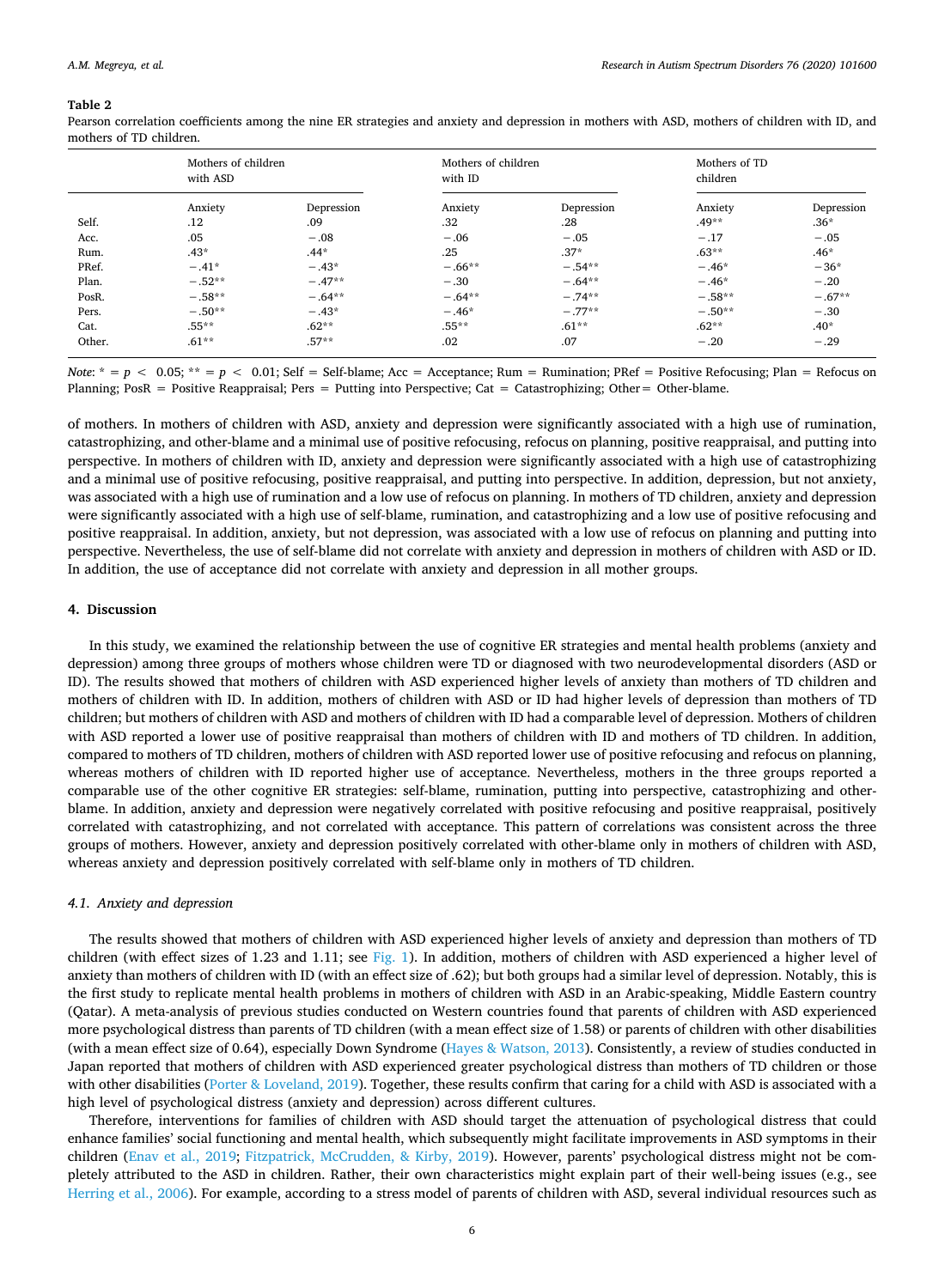#### <span id="page-6-0"></span>**Table 2**

Pearson correlation coefficients among the nine ER strategies and anxiety and depression in mothers with ASD, mothers of children with ID, and mothers of TD children.

|        | Mothers of children<br>with ASD |            | Mothers of children<br>with ID |            | Mothers of TD<br>children |            |
|--------|---------------------------------|------------|--------------------------------|------------|---------------------------|------------|
|        | Anxiety                         | Depression | Anxiety                        | Depression | Anxiety                   | Depression |
| Self.  | .12                             | .09        | .32                            | .28        | $.49**$                   | $.36*$     |
| Acc.   | .05                             | $-.08$     | $-.06$                         | $-.05$     | $-.17$                    | $-.05$     |
| Rum.   | $.43*$                          | $.44*$     | .25                            | $.37*$     | $.63**$                   | $.46*$     |
| PRef.  | $-.41*$                         | $-.43*$    | $-.66**$                       | $-.54**$   | $-.46*$                   | $-36*$     |
| Plan.  | $-.52**$                        | $-.47**$   | $-.30$                         | $-.64**$   | $-.46*$                   | $-.20$     |
| PosR.  | $-.58**$                        | $-.64**$   | $-.64**$                       | $-.74***$  | $-.58**$                  | $-.67**$   |
| Pers.  | $-.50**$                        | $-.43*$    | $-.46*$                        | $-.77**$   | $-.50**$                  | $-.30$     |
| Cat.   | $.55***$                        | $.62**$    | $.55***$                       | $.61***$   | $.62**$                   | $.40*$     |
| Other. | $.61**$                         | $.57**$    | .02                            | .07        | $-.20$                    | $-.29$     |

*Note*:  $* = p < 0.05$ ;  $** = p < 0.01$ ; Self = Self-blame; Acc = Acceptance; Rum = Rumination; PRef = Positive Refocusing; Plan = Refocus on Planning; PosR = Positive Reappraisal; Pers = Putting into Perspective; Cat = Catastrophizing; Other= Other-blame.

of mothers. In mothers of children with ASD, anxiety and depression were significantly associated with a high use of rumination, catastrophizing, and other-blame and a minimal use of positive refocusing, refocus on planning, positive reappraisal, and putting into perspective. In mothers of children with ID, anxiety and depression were significantly associated with a high use of catastrophizing and a minimal use of positive refocusing, positive reappraisal, and putting into perspective. In addition, depression, but not anxiety, was associated with a high use of rumination and a low use of refocus on planning. In mothers of TD children, anxiety and depression were significantly associated with a high use of self-blame, rumination, and catastrophizing and a low use of positive refocusing and positive reappraisal. In addition, anxiety, but not depression, was associated with a low use of refocus on planning and putting into perspective. Nevertheless, the use of self-blame did not correlate with anxiety and depression in mothers of children with ASD or ID. In addition, the use of acceptance did not correlate with anxiety and depression in all mother groups.

#### **4. Discussion**

In this study, we examined the relationship between the use of cognitive ER strategies and mental health problems (anxiety and depression) among three groups of mothers whose children were TD or diagnosed with two neurodevelopmental disorders (ASD or ID). The results showed that mothers of children with ASD experienced higher levels of anxiety than mothers of TD children and mothers of children with ID. In addition, mothers of children with ASD or ID had higher levels of depression than mothers of TD children; but mothers of children with ASD and mothers of children with ID had a comparable level of depression. Mothers of children with ASD reported a lower use of positive reappraisal than mothers of children with ID and mothers of TD children. In addition, compared to mothers of TD children, mothers of children with ASD reported lower use of positive refocusing and refocus on planning, whereas mothers of children with ID reported higher use of acceptance. Nevertheless, mothers in the three groups reported a comparable use of the other cognitive ER strategies: self-blame, rumination, putting into perspective, catastrophizing and otherblame. In addition, anxiety and depression were negatively correlated with positive refocusing and positive reappraisal, positively correlated with catastrophizing, and not correlated with acceptance. This pattern of correlations was consistent across the three groups of mothers. However, anxiety and depression positively correlated with other-blame only in mothers of children with ASD, whereas anxiety and depression positively correlated with self-blame only in mothers of TD children.

# *4.1. Anxiety and depression*

The results showed that mothers of children with ASD experienced higher levels of anxiety and depression than mothers of TD children (with effect sizes of 1.23 and 1.11; see [Fig. 1\)](#page-5-0). In addition, mothers of children with ASD experienced a higher level of anxiety than mothers of children with ID (with an effect size of .62); but both groups had a similar level of depression. Notably, this is the first study to replicate mental health problems in mothers of children with ASD in an Arabic-speaking, Middle Eastern country (Qatar). A meta-analysis of previous studies conducted on Western countries found that parents of children with ASD experienced more psychological distress than parents of TD children (with a mean effect size of 1.58) or parents of children with other disabilities (with a mean effect size of 0.64), especially Down Syndrome [\(Hayes & Watson, 2013\)](#page-9-2). Consistently, a review of studies conducted in Japan reported that mothers of children with ASD experienced greater psychological distress than mothers of TD children or those with other disabilities ([Porter & Loveland, 2019](#page-9-3)). Together, these results confirm that caring for a child with ASD is associated with a high level of psychological distress (anxiety and depression) across different cultures.

Therefore, interventions for families of children with ASD should target the attenuation of psychological distress that could enhance families' social functioning and mental health, which subsequently might facilitate improvements in ASD symptoms in their children [\(Enav et al., 2019](#page-9-26); [Fitzpatrick, McCrudden, & Kirby, 2019\)](#page-9-27). However, parents' psychological distress might not be completely attributed to the ASD in children. Rather, their own characteristics might explain part of their well-being issues (e.g., see [Herring et al., 2006\)](#page-9-28). For example, according to a stress model of parents of children with ASD, several individual resources such as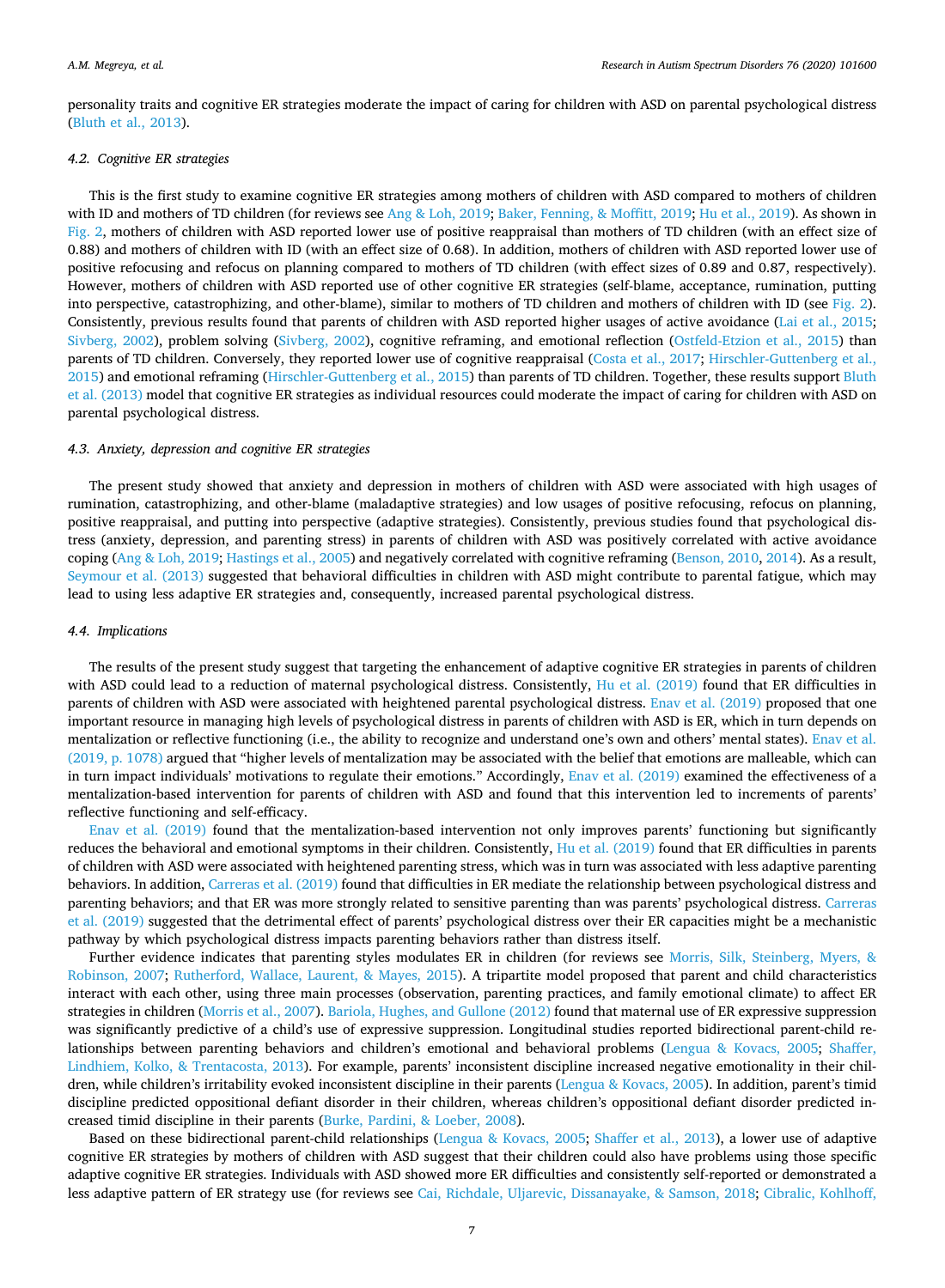personality traits and cognitive ER strategies moderate the impact of caring for children with ASD on parental psychological distress [\(Bluth et al., 2013](#page-8-1)).

# *4.2. Cognitive ER strategies*

This is the first study to examine cognitive ER strategies among mothers of children with ASD compared to mothers of children with ID and mothers of TD children (for reviews see [Ang & Loh, 2019;](#page-8-0) [Baker, Fenning, & Moffitt, 2019;](#page-8-8) [Hu et al., 2019](#page-9-20)). As shown in [Fig. 2](#page-5-1), mothers of children with ASD reported lower use of positive reappraisal than mothers of TD children (with an effect size of 0.88) and mothers of children with ID (with an effect size of 0.68). In addition, mothers of children with ASD reported lower use of positive refocusing and refocus on planning compared to mothers of TD children (with effect sizes of 0.89 and 0.87, respectively). However, mothers of children with ASD reported use of other cognitive ER strategies (self-blame, acceptance, rumination, putting into perspective, catastrophizing, and other-blame), similar to mothers of TD children and mothers of children with ID (see [Fig. 2\)](#page-5-1). Consistently, previous results found that parents of children with ASD reported higher usages of active avoidance [\(Lai et al., 2015](#page-9-13); [Sivberg, 2002\)](#page-9-16), problem solving ([Sivberg, 2002](#page-9-16)), cognitive reframing, and emotional reflection ([Ostfeld-Etzion et al., 2015](#page-9-19)) than parents of TD children. Conversely, they reported lower use of cognitive reappraisal ([Costa et al., 2017;](#page-9-17) [Hirschler-Guttenberg et al.,](#page-9-18) [2015\)](#page-9-18) and emotional reframing [\(Hirschler-Guttenberg et al., 2015](#page-9-18)) than parents of TD children. Together, these results support [Bluth](#page-8-1) [et al. \(2013\)](#page-8-1) model that cognitive ER strategies as individual resources could moderate the impact of caring for children with ASD on parental psychological distress.

#### *4.3. Anxiety, depression and cognitive ER strategies*

The present study showed that anxiety and depression in mothers of children with ASD were associated with high usages of rumination, catastrophizing, and other-blame (maladaptive strategies) and low usages of positive refocusing, refocus on planning, positive reappraisal, and putting into perspective (adaptive strategies). Consistently, previous studies found that psychological distress (anxiety, depression, and parenting stress) in parents of children with ASD was positively correlated with active avoidance coping ([Ang & Loh, 2019](#page-8-0); [Hastings et al., 2005\)](#page-9-12) and negatively correlated with cognitive reframing ([Benson, 2010](#page-8-3), [2014](#page-8-4)). As a result, [Seymour et al. \(2013\)](#page-9-14) suggested that behavioral difficulties in children with ASD might contribute to parental fatigue, which may lead to using less adaptive ER strategies and, consequently, increased parental psychological distress.

# *4.4. Implications*

The results of the present study suggest that targeting the enhancement of adaptive cognitive ER strategies in parents of children with ASD could lead to a reduction of maternal psychological distress. Consistently, [Hu et al. \(2019\)](#page-9-20) found that ER difficulties in parents of children with ASD were associated with heightened parental psychological distress. [Enav et al. \(2019\)](#page-9-26) proposed that one important resource in managing high levels of psychological distress in parents of children with ASD is ER, which in turn depends on mentalization or reflective functioning (i.e., the ability to recognize and understand one's own and others' mental states). [Enav et al.](#page-9-26) [\(2019, p. 1078\)](#page-9-26) argued that "higher levels of mentalization may be associated with the belief that emotions are malleable, which can in turn impact individuals' motivations to regulate their emotions." Accordingly, [Enav et al. \(2019\)](#page-9-26) examined the effectiveness of a mentalization-based intervention for parents of children with ASD and found that this intervention led to increments of parents' reflective functioning and self-efficacy.

[Enav et al. \(2019\)](#page-9-26) found that the mentalization-based intervention not only improves parents' functioning but significantly reduces the behavioral and emotional symptoms in their children. Consistently, [Hu et al. \(2019\)](#page-9-20) found that ER difficulties in parents of children with ASD were associated with heightened parenting stress, which was in turn was associated with less adaptive parenting behaviors. In addition, [Carreras et al. \(2019\)](#page-8-2) found that difficulties in ER mediate the relationship between psychological distress and parenting behaviors; and that ER was more strongly related to sensitive parenting than was parents' psychological distress. [Carreras](#page-8-2) [et al. \(2019\)](#page-8-2) suggested that the detrimental effect of parents' psychological distress over their ER capacities might be a mechanistic pathway by which psychological distress impacts parenting behaviors rather than distress itself.

Further evidence indicates that parenting styles modulates ER in children (for reviews see [Morris, Silk, Steinberg, Myers, &](#page-9-29) [Robinson, 2007](#page-9-29); [Rutherford, Wallace, Laurent, & Mayes, 2015\)](#page-9-30). A tripartite model proposed that parent and child characteristics interact with each other, using three main processes (observation, parenting practices, and family emotional climate) to affect ER strategies in children [\(Morris et al., 2007\)](#page-9-29). [Bariola, Hughes, and Gullone \(2012\)](#page-8-9) found that maternal use of ER expressive suppression was significantly predictive of a child's use of expressive suppression. Longitudinal studies reported bidirectional parent-child relationships between parenting behaviors and children's emotional and behavioral problems ([Lengua & Kovacs, 2005;](#page-9-31) [Shaffer,](#page-9-32) [Lindhiem, Kolko, & Trentacosta, 2013\)](#page-9-32). For example, parents' inconsistent discipline increased negative emotionality in their children, while children's irritability evoked inconsistent discipline in their parents [\(Lengua & Kovacs, 2005\)](#page-9-31). In addition, parent's timid discipline predicted oppositional defiant disorder in their children, whereas children's oppositional defiant disorder predicted increased timid discipline in their parents ([Burke, Pardini, & Loeber, 2008\)](#page-8-10).

Based on these bidirectional parent-child relationships ([Lengua & Kovacs, 2005;](#page-9-31) [Shaffer et al., 2013](#page-9-32)), a lower use of adaptive cognitive ER strategies by mothers of children with ASD suggest that their children could also have problems using those specific adaptive cognitive ER strategies. Individuals with ASD showed more ER difficulties and consistently self-reported or demonstrated a less adaptive pattern of ER strategy use (for reviews see [Cai, Richdale, Uljarevic, Dissanayake, & Samson, 2018](#page-8-11); [Cibralic, Kohlhoff,](#page-8-12)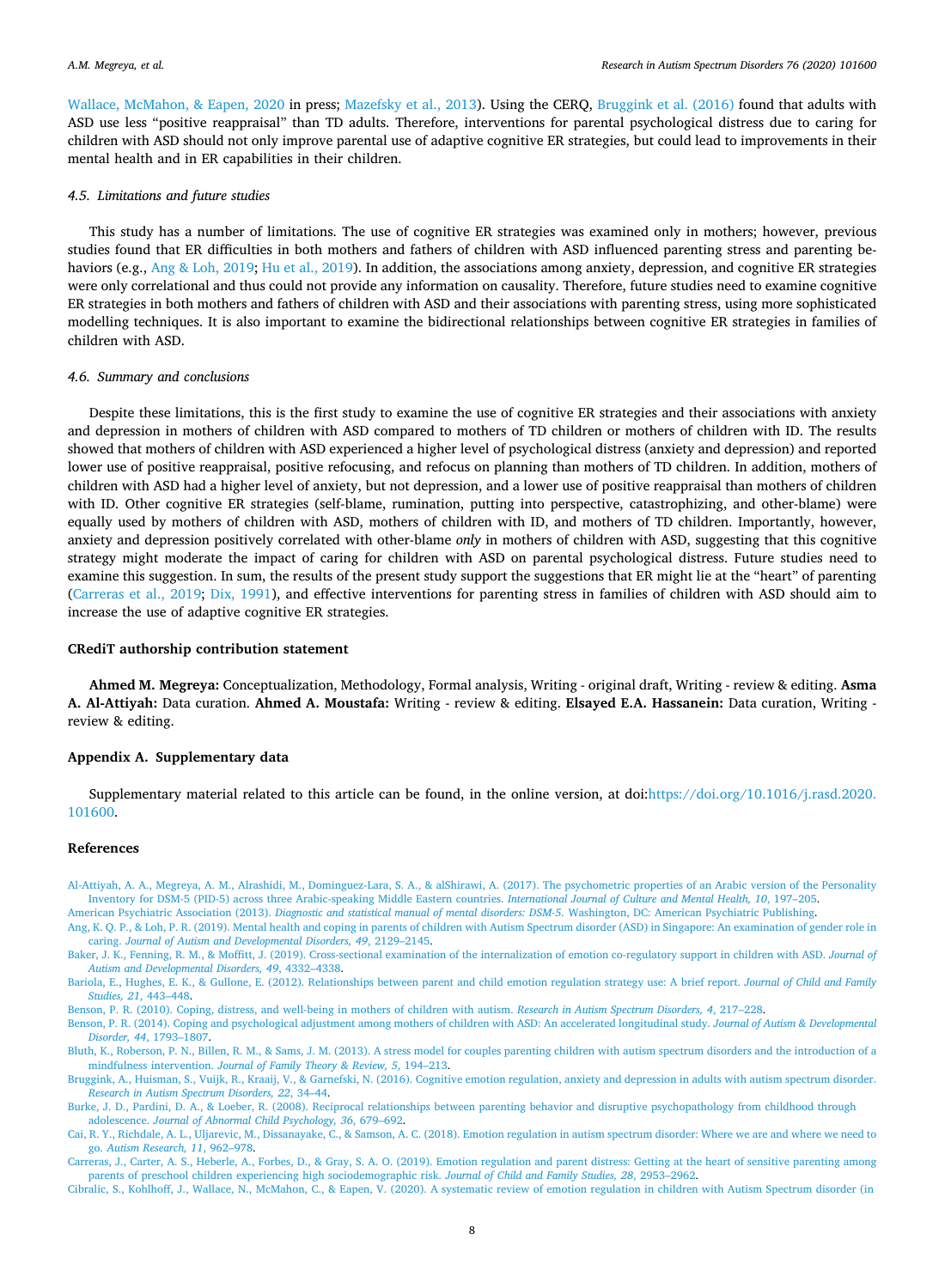[Wallace, McMahon, & Eapen, 2020](#page-8-12) in press; [Mazefsky et al., 2013\)](#page-9-33). Using the CERQ, [Bruggink et al. \(2016\)](#page-8-5) found that adults with ASD use less "positive reappraisal" than TD adults. Therefore, interventions for parental psychological distress due to caring for children with ASD should not only improve parental use of adaptive cognitive ER strategies, but could lead to improvements in their mental health and in ER capabilities in their children.

#### *4.5. Limitations and future studies*

This study has a number of limitations. The use of cognitive ER strategies was examined only in mothers; however, previous studies found that ER difficulties in both mothers and fathers of children with ASD influenced parenting stress and parenting be-haviors (e.g., [Ang & Loh, 2019;](#page-8-0) [Hu et al., 2019](#page-9-20)). In addition, the associations among anxiety, depression, and cognitive ER strategies were only correlational and thus could not provide any information on causality. Therefore, future studies need to examine cognitive ER strategies in both mothers and fathers of children with ASD and their associations with parenting stress, using more sophisticated modelling techniques. It is also important to examine the bidirectional relationships between cognitive ER strategies in families of children with ASD.

# *4.6. Summary and conclusions*

Despite these limitations, this is the first study to examine the use of cognitive ER strategies and their associations with anxiety and depression in mothers of children with ASD compared to mothers of TD children or mothers of children with ID. The results showed that mothers of children with ASD experienced a higher level of psychological distress (anxiety and depression) and reported lower use of positive reappraisal, positive refocusing, and refocus on planning than mothers of TD children. In addition, mothers of children with ASD had a higher level of anxiety, but not depression, and a lower use of positive reappraisal than mothers of children with ID. Other cognitive ER strategies (self-blame, rumination, putting into perspective, catastrophizing, and other-blame) were equally used by mothers of children with ASD, mothers of children with ID, and mothers of TD children. Importantly, however, anxiety and depression positively correlated with other-blame *only* in mothers of children with ASD, suggesting that this cognitive strategy might moderate the impact of caring for children with ASD on parental psychological distress. Future studies need to examine this suggestion. In sum, the results of the present study support the suggestions that ER might lie at the "heart" of parenting [\(Carreras et al., 2019](#page-8-2); [Dix, 1991\)](#page-9-11), and effective interventions for parenting stress in families of children with ASD should aim to increase the use of adaptive cognitive ER strategies.

# **CRediT authorship contribution statement**

**Ahmed M. Megreya:** Conceptualization, Methodology, Formal analysis, Writing - original draft, Writing - review & editing. **Asma A. Al-Attiyah:** Data curation. **Ahmed A. Moustafa:** Writing - review & editing. **Elsayed E.A. Hassanein:** Data curation, Writing review & editing.

# **Appendix A. Supplementary data**

Supplementary material related to this article can be found, in the online version, at doi:[https://doi.org/10.1016/j.rasd.2020.](https://doi.org/10.1016/j.rasd.2020.101600) [101600.](https://doi.org/10.1016/j.rasd.2020.101600)

#### **References**

<span id="page-8-7"></span>[Al-Attiyah, A. A., Megreya, A. M., Alrashidi, M., Dominguez-Lara, S. A., & alShirawi, A. \(2017\). The psychometric properties of an Arabic version of the Personality](http://refhub.elsevier.com/S1750-9467(20)30090-8/sbref0005) [Inventory for DSM-5 \(PID-5\) across three Arabic-speaking Middle Eastern countries.](http://refhub.elsevier.com/S1750-9467(20)30090-8/sbref0005) *International Journal of Culture and Mental Health, 10*, 197–205.

<span id="page-8-6"></span><span id="page-8-0"></span>American Psychiatric Association (2013). *[Diagnostic and statistical manual of mental disorders: DSM-5.](http://refhub.elsevier.com/S1750-9467(20)30090-8/sbref0010)* Washington, DC: American Psychiatric Publishing. [Ang, K. Q. P., & Loh, P. R. \(2019\). Mental health and coping in parents of children with Autism Spectrum disorder \(ASD\) in Singapore: An examination of gender role in](http://refhub.elsevier.com/S1750-9467(20)30090-8/sbref0015) caring. *[Journal of Autism and Developmental Disorders, 49](http://refhub.elsevier.com/S1750-9467(20)30090-8/sbref0015)*, 2129–2145.

<span id="page-8-8"></span>Baker, J. K., Fenning, R. M., & Moffitt, J. (2019). Cross-sectional examination of the internalization of emotion co-regulatory support in children with ASD. *Journal of [Autism and Developmental Disorders, 49](http://refhub.elsevier.com/S1750-9467(20)30090-8/sbref0020)*, 4332–4338.

<span id="page-8-9"></span>[Bariola, E., Hughes, E. K., & Gullone, E. \(2012\). Relationships between parent and child emotion regulation strategy use: A brief report.](http://refhub.elsevier.com/S1750-9467(20)30090-8/sbref0025) *Journal of Child and Family [Studies, 21](http://refhub.elsevier.com/S1750-9467(20)30090-8/sbref0025)*, 443–448.

<span id="page-8-3"></span>[Benson, P. R. \(2010\). Coping, distress, and well-being in mothers of children with autism.](http://refhub.elsevier.com/S1750-9467(20)30090-8/sbref0030) *Research in Autism Spectrum Disorders, 4*, 217–228.

<span id="page-8-4"></span>[Benson, P. R. \(2014\). Coping and psychological adjustment among mothers of children with ASD: An accelerated longitudinal study.](http://refhub.elsevier.com/S1750-9467(20)30090-8/sbref0035) *Journal of Autism & Developmental Disorder, 44*[, 1793–1807](http://refhub.elsevier.com/S1750-9467(20)30090-8/sbref0035).

<span id="page-8-1"></span>[Bluth, K., Roberson, P. N., Billen, R. M., & Sams, J. M. \(2013\). A stress model for couples parenting children with autism spectrum disorders and the introduction of a](http://refhub.elsevier.com/S1750-9467(20)30090-8/sbref0040) mindfulness intervention. *[Journal of Family Theory & Review, 5](http://refhub.elsevier.com/S1750-9467(20)30090-8/sbref0040)*, 194–213.

<span id="page-8-5"></span>[Bruggink, A., Huisman, S., Vuijk, R., Kraaij, V., & Garnefski, N. \(2016\). Cognitive emotion regulation, anxiety and depression in adults with autism spectrum disorder.](http://refhub.elsevier.com/S1750-9467(20)30090-8/sbref0045) *[Research in Autism Spectrum Disorders, 22](http://refhub.elsevier.com/S1750-9467(20)30090-8/sbref0045)*, 34–44.

<span id="page-8-10"></span>[Burke, J. D., Pardini, D. A., & Loeber, R. \(2008\). Reciprocal relationships between parenting behavior and disruptive psychopathology from childhood through](http://refhub.elsevier.com/S1750-9467(20)30090-8/sbref0050)  adolescence. *[Journal of Abnormal Child Psychology, 36](http://refhub.elsevier.com/S1750-9467(20)30090-8/sbref0050)*, 679–692.

<span id="page-8-11"></span>[Cai, R. Y., Richdale, A. L., Uljarevic, M., Dissanayake, C., & Samson, A. C. \(2018\). Emotion regulation in autism spectrum disorder: Where we are and where we need to](http://refhub.elsevier.com/S1750-9467(20)30090-8/sbref0055) go. *[Autism Research, 11](http://refhub.elsevier.com/S1750-9467(20)30090-8/sbref0055)*, 962–978.

<span id="page-8-2"></span>[Carreras, J., Carter, A. S., Heberle, A., Forbes, D., & Gray, S. A. O. \(2019\). Emotion regulation and parent distress: Getting at the heart of sensitive parenting among](http://refhub.elsevier.com/S1750-9467(20)30090-8/sbref0060) [parents of preschool children experiencing high sociodemographic risk.](http://refhub.elsevier.com/S1750-9467(20)30090-8/sbref0060) *Journal of Child and Family Studies, 28*, 2953–2962.

<span id="page-8-12"></span>[Cibralic, S., Kohlhoff, J., Wallace, N., McMahon, C., & Eapen, V. \(2020\). A systematic review of emotion regulation in children with Autism Spectrum disorder \(in](http://refhub.elsevier.com/S1750-9467(20)30090-8/sbref0065)